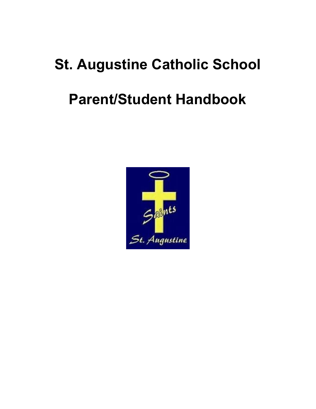# **St. Augustine Catholic School Parent/Student Handbook**

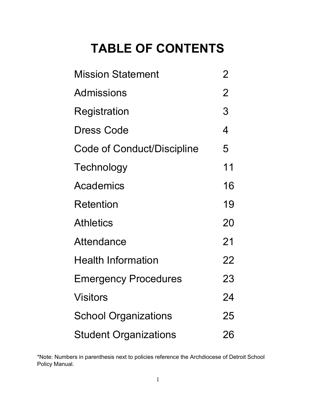# **TABLE OF CONTENTS**

| <b>Mission Statement</b>     | 2              |
|------------------------------|----------------|
| Admissions                   | $\overline{2}$ |
| Registration                 | 3              |
| <b>Dress Code</b>            | 4              |
| Code of Conduct/Discipline   | 5              |
| Technology                   | 11             |
| Academics                    | 16             |
| Retention                    | 19             |
| <b>Athletics</b>             | 20             |
| Attendance                   | 21             |
| <b>Health Information</b>    | 22             |
| <b>Emergency Procedures</b>  | 23             |
| <b>Visitors</b>              | 24             |
| <b>School Organizations</b>  | 25             |
| <b>Student Organizations</b> | 26             |

\*Note: Numbers in parenthesis next to policies reference the Archdiocese of Detroit School Policy Manual.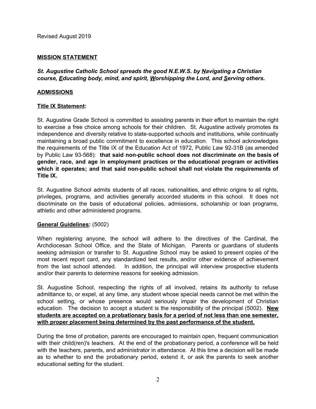# **MISSION STATEMENT**

*St. Augustine Catholic School spreads the good N.E.W.S. by Navigating a Christian course, Educating body, mind, and spirit, Worshipping the Lord, and Serving others.*

### **ADMISSIONS**

### **Title IX Statement:**

St. Augustine Grade School is committed to assisting parents in their effort to maintain the right to exercise a free choice among schools for their children. St. Augustine actively promotes its independence and diversity relative to state-supported schools and institutions, while continually maintaining a broad public commitment to excellence in education. This school acknowledges the requirements of the Title IX of the Education Act of 1972, Public Law 92-31B (as amended by Public Law 93-568): **that said non-public school does not discriminate on the basis of gender, race, and age in employment practices or the educational program or activities which it operates; and that said non-public school shall not violate the requirements of Title IX.**

St. Augustine School admits students of all races, nationalities, and ethnic origins to all rights, privileges, programs, and activities generally accorded students in this school. It does not discriminate on the basis of educational policies, admissions, scholarship or loan programs, athletic and other administered programs.

#### **General Guidelines:** (5002)

When registering anyone, the school will adhere to the directives of the Cardinal, the Archdiocesan School Office, and the State of Michigan. Parents or guardians of students seeking admission or transfer to St. Augustine School may be asked to present copies of the most recent report card, any standardized test results, and/or other evidence of achievement from the last school attended. In addition, the principal will interview prospective students and/or their parents to determine reasons for seeking admission.

St. Augustine School, respecting the rights of all involved, retains its authority to refuse admittance to, or expel, at any time, any student whose special needs cannot be met within the school setting, or whose presence would seriously impair the development of Christian education. The decision to accept a student is the responsibility of the principal (5002). **New students are accepted on a probationary basis for a period of not less than one semester, with proper placement being determined by the past performance of the student.**

During the time of probation, parents are encouraged to maintain open, frequent communication with their child(ren)'s teachers. At the end of the probationary period, a conference will be held with the teachers, parents, and administrator in attendance. At this time a decision will be made as to whether to end the probationary period, extend it, or ask the parents to seek another educational setting for the student.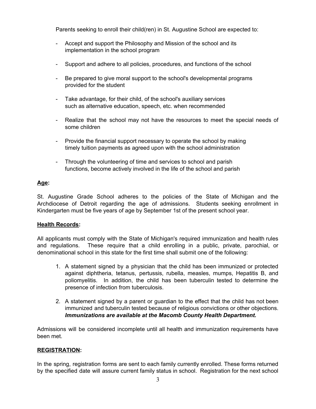Parents seeking to enroll their child(ren) in St. Augustine School are expected to:

- Accept and support the Philosophy and Mission of the school and its implementation in the school program
- Support and adhere to all policies, procedures, and functions of the school
- Be prepared to give moral support to the school's developmental programs provided for the student
- Take advantage, for their child, of the school's auxiliary services such as alternative education, speech, etc. when recommended
- Realize that the school may not have the resources to meet the special needs of some children
- Provide the financial support necessary to operate the school by making timely tuition payments as agreed upon with the school administration
- Through the volunteering of time and services to school and parish functions, become actively involved in the life of the school and parish

# **Age:**

St. Augustine Grade School adheres to the policies of the State of Michigan and the Archdiocese of Detroit regarding the age of admissions. Students seeking enrollment in Kindergarten must be five years of age by September 1st of the present school year.

# **Health Records:**

All applicants must comply with the State of Michigan's required immunization and health rules and regulations. These require that a child enrolling in a public, private, parochial, or denominational school in this state for the first time shall submit one of the following:

- 1. A statement signed by a physician that the child has been immunized or protected against diphtheria, tetanus, pertussis, rubella, measles, mumps, Hepatitis B, and poliomyelitis. In addition, the child has been tuberculin tested to determine the presence of infection from tuberculosis.
- 2. A statement signed by a parent or guardian to the effect that the child has not been immunized and tuberculin tested because of religious convictions or other objections. *Immunizations are available at the Macomb County Health Department.*

Admissions will be considered incomplete until all health and immunization requirements have been met.

# **REGISTRATION:**

In the spring, registration forms are sent to each family currently enrolled. These forms returned by the specified date will assure current family status in school. Registration for the next school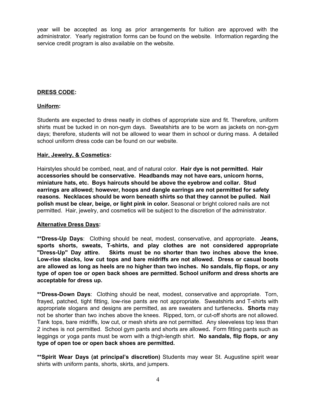year will be accepted as long as prior arrangements for tuition are approved with the administrator. Yearly registration forms can be found on the website. Information regarding the service credit program is also available on the website.

# **DRESS CODE:**

# **Uniform:**

Students are expected to dress neatly in clothes of appropriate size and fit. Therefore, uniform shirts must be tucked in on non-gym days. Sweatshirts are to be worn as jackets on non-gym days; therefore, students will not be allowed to wear them in school or during mass. A detailed school uniform dress code can be found on our website.

# **Hair, Jewelry, & Cosmetics:**

Hairstyles should be combed, neat, and of natural color. **Hair dye is not permitted. Hair accessories should be conservative. Headbands may not have ears, unicorn horns, miniature hats, etc. Boys haircuts should be above the eyebrow and collar. Stud earrings are allowed; however, hoops and dangle earrings are not permitted for safety reasons. Necklaces should be worn beneath shirts so that they cannot be pulled. Nail polish must be clear, beige, or light pink in color.** Seasonal or bright colored nails are not permitted. Hair, jewelry, and cosmetics will be subject to the discretion of the administrator.

# **Alternative Dress Days:**

**\*\*Dress-Up Days**: Clothing should be neat, modest, conservative, and appropriate. **Jeans, sports shorts, sweats, T-shirts, and play clothes are not considered appropriate "Dress-Up" Day attire. Skirts must be no shorter than two inches above the knee. Low-rise slacks, low cut tops and bare midriffs are not allowed. Dress or casual boots are allowed as long as heels are no higher than two inches. No sandals, flip flops, or any type of open toe or open back shoes are permitted. School uniform and dress shorts are acceptable for dress up.**

**\*\*Dress-Down Days**: Clothing should be neat, modest, conservative and appropriate. Torn, frayed, patched, tight fitting, low-rise pants are not appropriate. Sweatshirts and T-shirts with appropriate slogans and designs are permitted, as are sweaters and turtlenecks**. Shorts** may not be shorter than two inches above the knees. Ripped, torn, or cut-off shorts are not allowed. Tank tops, bare midriffs, low cut, or mesh shirts are not permitted. Any sleeveless top less than 2 inches is not permitted. School gym pants and shorts are allowed**.** Form fitting pants such as leggings or yoga pants must be worn with a thigh-length shirt. **No sandals, flip flops, or any type of open toe or open back shoes are permitted.**

**\*\*Spirit Wear Days (at principal's discretion)** Students may wear St. Augustine spirit wear shirts with uniform pants, shorts, skirts, and jumpers.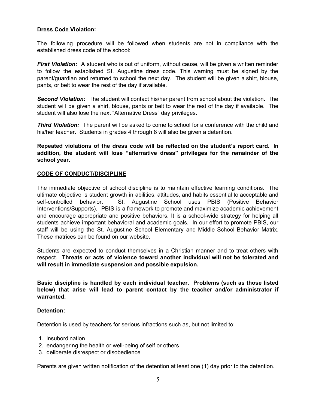# **Dress Code Violation:**

The following procedure will be followed when students are not in compliance with the established dress code of the school:

*First Violation:* A student who is out of uniform, without cause, will be given a written reminder to follow the established St. Augustine dress code. This warning must be signed by the parent/guardian and returned to school the next day. The student will be given a shirt, blouse, pants, or belt to wear the rest of the day if available.

*Second Violation:* The student will contact his/her parent from school about the violation. The student will be given a shirt, blouse, pants or belt to wear the rest of the day if available. The student will also lose the next "Alternative Dress" day privileges.

*Third Violation:* The parent will be asked to come to school for a conference with the child and his/her teacher. Students in grades 4 through 8 will also be given a detention.

**Repeated violations of the dress code will be reflected on the student's report card. In addition, the student will lose "alternative dress" privileges for the remainder of the school year.**

# **CODE OF CONDUCT/DISCIPLINE**

The immediate objective of school discipline is to maintain effective learning conditions. The ultimate objective is student growth in abilities, attitudes, and habits essential to acceptable and self-controlled behavior. St. Augustine School uses PBIS (Positive Behavior Interventions/Supports). PBIS is a framework to promote and maximize academic achievement and encourage appropriate and positive behaviors. It is a school-wide strategy for helping all students achieve important behavioral and academic goals. In our effort to promote PBIS, our staff will be using the St. Augustine School Elementary and Middle School Behavior Matrix. These matrices can be found on our website.

Students are expected to conduct themselves in a Christian manner and to treat others with respect. **Threats or acts of violence toward another individual will not be tolerated and will result in immediate suspension and possible expulsion.**

**Basic discipline is handled by each individual teacher. Problems (such as those listed below) that arise will lead to parent contact by the teacher and/or administrator if warranted.**

#### **Detention:**

Detention is used by teachers for serious infractions such as, but not limited to:

- 1. insubordination
- 2. endangering the health or well-being of self or others
- 3. deliberate disrespect or disobedience

Parents are given written notification of the detention at least one (1) day prior to the detention.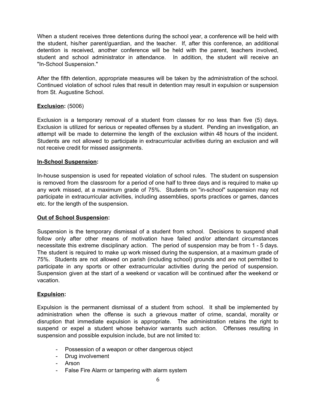When a student receives three detentions during the school year, a conference will be held with the student, his/her parent/guardian, and the teacher. If, after this conference, an additional detention is received, another conference will be held with the parent, teachers involved, student and school administrator in attendance. In addition, the student will receive an "In-School Suspension."

After the fifth detention, appropriate measures will be taken by the administration of the school. Continued violation of school rules that result in detention may result in expulsion or suspension from St. Augustine School.

# **Exclusion:** (5006)

Exclusion is a temporary removal of a student from classes for no less than five (5) days. Exclusion is utilized for serious or repeated offenses by a student. Pending an investigation, an attempt will be made to determine the length of the exclusion within 48 hours of the incident. Students are not allowed to participate in extracurricular activities during an exclusion and will not receive credit for missed assignments.

### **In-School Suspension:**

In-house suspension is used for repeated violation of school rules. The student on suspension is removed from the classroom for a period of one half to three days and is required to make up any work missed, at a maximum grade of 75%. Students on "in-school" suspension may not participate in extracurricular activities, including assemblies, sports practices or games, dances etc. for the length of the suspension.

#### **Out of School Suspension:**

Suspension is the temporary dismissal of a student from school. Decisions to suspend shall follow only after other means of motivation have failed and/or attendant circumstances necessitate this extreme disciplinary action. The period of suspension may be from 1 - 5 days. The student is required to make up work missed during the suspension, at a maximum grade of 75%. Students are not allowed on parish (including school) grounds and are not permitted to participate in any sports or other extracurricular activities during the period of suspension. Suspension given at the start of a weekend or vacation will be continued after the weekend or vacation.

#### **Expulsion:**

Expulsion is the permanent dismissal of a student from school. It shall be implemented by administration when the offense is such a grievous matter of crime, scandal, morality or disruption that immediate expulsion is appropriate. The administration retains the right to suspend or expel a student whose behavior warrants such action. Offenses resulting in suspension and possible expulsion include, but are not limited to:

- Possession of a weapon or other dangerous object
- Drug involvement
- Arson
- False Fire Alarm or tampering with alarm system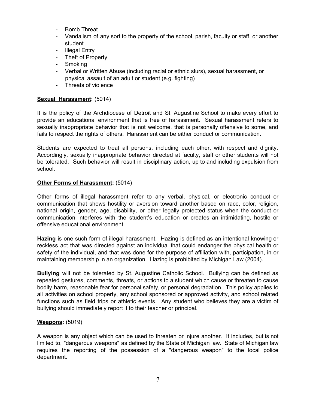- Bomb Threat
- Vandalism of any sort to the property of the school, parish, faculty or staff, or another student
- Illegal Entry
- Theft of Property
- Smoking
- Verbal or Written Abuse (including racial or ethnic slurs), sexual harassment, or physical assault of an adult or student (e.g. fighting)
- Threats of violence

# **Sexual Harassment:** (5014)

It is the policy of the Archdiocese of Detroit and St. Augustine School to make every effort to provide an educational environment that is free of harassment. Sexual harassment refers to sexually inappropriate behavior that is not welcome, that is personally offensive to some, and fails to respect the rights of others. Harassment can be either conduct or communication.

Students are expected to treat all persons, including each other, with respect and dignity. Accordingly, sexually inappropriate behavior directed at faculty, staff or other students will not be tolerated. Such behavior will result in disciplinary action, up to and including expulsion from school.

# **Other Forms of Harassment:** (5014)

Other forms of illegal harassment refer to any verbal, physical, or electronic conduct or communication that shows hostility or aversion toward another based on race, color, religion, national origin, gender, age, disability, or other legally protected status when the conduct or communication interferes with the student's education or creates an intimidating, hostile or offensive educational environment.

**Hazing** is one such form of illegal harassment. Hazing is defined as an intentional knowing or reckless act that was directed against an individual that could endanger the physical health or safety of the individual, and that was done for the purpose of affiliation with, participation, in or maintaining membership in an organization. Hazing is prohibited by Michigan Law (2004).

**Bullying** will not be tolerated by St. Augustine Catholic School. Bullying can be defined as repeated gestures, comments, threats, or actions to a student which cause or threaten to cause bodily harm, reasonable fear for personal safety, or personal degradation. This policy applies to all activities on school property, any school sponsored or approved activity, and school related functions such as field trips or athletic events. Any student who believes they are a victim of bullying should immediately report it to their teacher or principal.

# **Weapons:** (5019)

A weapon is any object which can be used to threaten or injure another. It includes, but is not limited to, "dangerous weapons" as defined by the State of Michigan law. State of Michigan law requires the reporting of the possession of a "dangerous weapon" to the local police department.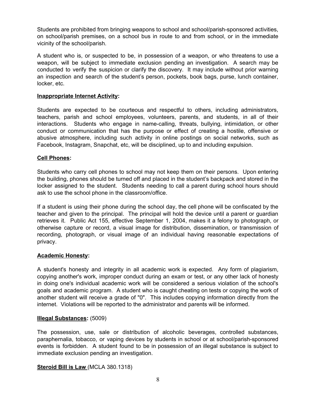Students are prohibited from bringing weapons to school and school/parish-sponsored activities, on school/parish premises, on a school bus in route to and from school, or in the immediate vicinity of the school/parish.

A student who is, or suspected to be, in possession of a weapon, or who threatens to use a weapon, will be subject to immediate exclusion pending an investigation. A search may be conducted to verify the suspicion or clarify the discovery. It may include without prior warning an inspection and search of the student's person, pockets, book bags, purse, lunch container, locker, etc.

### **Inappropriate Internet Activity:**

Students are expected to be courteous and respectful to others, including administrators, teachers, parish and school employees, volunteers, parents, and students, in all of their interactions. Students who engage in name-calling, threats, bullying, intimidation, or other conduct or communication that has the purpose or effect of creating a hostile, offensive or abusive atmosphere, including such activity in online postings on social networks, such as Facebook, Instagram, Snapchat, etc, will be disciplined, up to and including expulsion.

### **Cell Phones:**

Students who carry cell phones to school may not keep them on their persons. Upon entering the building, phones should be turned off and placed in the student's backpack and stored in the locker assigned to the student. Students needing to call a parent during school hours should ask to use the school phone in the classroom/office.

If a student is using their phone during the school day, the cell phone will be confiscated by the teacher and given to the principal. The principal will hold the device until a parent or guardian retrieves it. Public Act 155, effective September 1, 2004, makes it a felony to photograph, or otherwise capture or record, a visual image for distribution, dissemination, or transmission of recording, photograph, or visual image of an individual having reasonable expectations of privacy.

# **Academic Honesty:**

A student's honesty and integrity in all academic work is expected. Any form of plagiarism, copying another's work, improper conduct during an exam or test, or any other lack of honesty in doing one's individual academic work will be considered a serious violation of the school's goals and academic program. A student who is caught cheating on tests or copying the work of another student will receive a grade of "0". This includes copying information directly from the internet. Violations will be reported to the administrator and parents will be informed.

# **Illegal Substances:** (5009)

The possession, use, sale or distribution of alcoholic beverages, controlled substances, paraphernalia, tobacco, or vaping devices by students in school or at school/parish-sponsored events is forbidden. A student found to be in possession of an illegal substance is subject to immediate exclusion pending an investigation.

#### **Steroid Bill is Law** (MCLA 380.1318)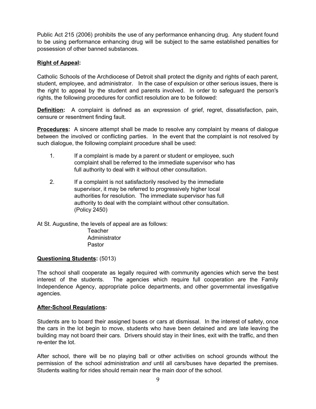Public Act 215 (2006) prohibits the use of any performance enhancing drug. Any student found to be using performance enhancing drug will be subject to the same established penalties for possession of other banned substances.

# **Right of Appeal:**

Catholic Schools of the Archdiocese of Detroit shall protect the dignity and rights of each parent, student, employee, and administrator. In the case of expulsion or other serious issues, there is the right to appeal by the student and parents involved. In order to safeguard the person's rights, the following procedures for conflict resolution are to be followed:

**Definition:** A complaint is defined as an expression of grief, regret, dissatisfaction, pain, censure or resentment finding fault.

**Procedures:** A sincere attempt shall be made to resolve any complaint by means of dialogue between the involved or conflicting parties. In the event that the complaint is not resolved by such dialogue, the following complaint procedure shall be used:

- 1. If a complaint is made by a parent or student or employee, such complaint shall be referred to the immediate supervisor who has full authority to deal with it without other consultation.
- 2. If a complaint is not satisfactorily resolved by the immediate supervisor, it may be referred to progressively higher local authorities for resolution. The immediate supervisor has full authority to deal with the complaint without other consultation. (Policy 2450)

At St. Augustine, the levels of appeal are as follows:

**Teacher** Administrator Pastor

# **Questioning Students:** (5013)

The school shall cooperate as legally required with community agencies which serve the best interest of the students. The agencies which require full cooperation are the Family Independence Agency, appropriate police departments, and other governmental investigative agencies.

#### **After-School Regulations:**

Students are to board their assigned buses or cars at dismissal. In the interest of safety, once the cars in the lot begin to move, students who have been detained and are late leaving the building may not board their cars. Drivers should stay in their lines, exit with the traffic, and then re-enter the lot.

After school, there will be no playing ball or other activities on school grounds without the permission of the school administration *and* until all cars/buses have departed the premises. Students waiting for rides should remain near the main door of the school.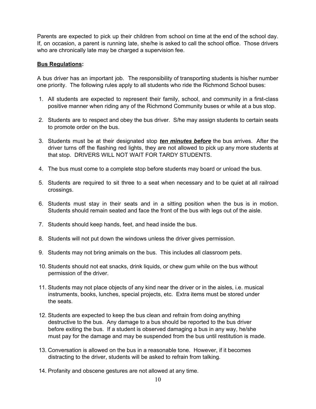Parents are expected to pick up their children from school on time at the end of the school day. If, on occasion, a parent is running late, she/he is asked to call the school office. Those drivers who are chronically late may be charged a supervision fee.

# **Bus Regulations:**

A bus driver has an important job. The responsibility of transporting students is his/her number one priority. The following rules apply to all students who ride the Richmond School buses:

- 1. All students are expected to represent their family, school, and community in a first-class positive manner when riding any of the Richmond Community buses or while at a bus stop.
- 2. Students are to respect and obey the bus driver. S/he may assign students to certain seats to promote order on the bus.
- 3. Students must be at their designated stop *ten minutes before* the bus arrives. After the driver turns off the flashing red lights, they are not allowed to pick up any more students at that stop. DRIVERS WILL NOT WAIT FOR TARDY STUDENTS.
- 4. The bus must come to a complete stop before students may board or unload the bus.
- 5. Students are required to sit three to a seat when necessary and to be quiet at all railroad crossings.
- 6. Students must stay in their seats and in a sitting position when the bus is in motion. Students should remain seated and face the front of the bus with legs out of the aisle.
- 7. Students should keep hands, feet, and head inside the bus.
- 8. Students will not put down the windows unless the driver gives permission.
- 9. Students may not bring animals on the bus. This includes all classroom pets.
- 10. Students should not eat snacks, drink liquids, or chew gum while on the bus without permission of the driver.
- 11. Students may not place objects of any kind near the driver or in the aisles, i.e. musical instruments, books, lunches, special projects, etc. Extra items must be stored under the seats.
- 12. Students are expected to keep the bus clean and refrain from doing anything destructive to the bus. Any damage to a bus should be reported to the bus driver before exiting the bus. If a student is observed damaging a bus in any way, he/she must pay for the damage and may be suspended from the bus until restitution is made.
- 13. Conversation is allowed on the bus in a reasonable tone. However, if it becomes distracting to the driver, students will be asked to refrain from talking.
- 14. Profanity and obscene gestures are not allowed at any time.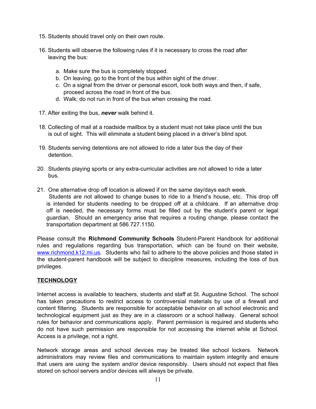- 15. Students should travel only on their own route.
- 16. Students will observe the following rules if it is necessary to cross the road after leaving the bus:
	- a. Make sure the bus is completely stopped.
	- b. On leaving, go to the front of the bus within sight of the driver.
	- c. On a signal from the driver or personal escort, look both ways and then, if safe, proceed across the road in front of the bus.
	- d. Walk; do not run in front of the bus when crossing the road.
- 17. After exiting the bus, *never* walk behind it.
- 18. Collecting of mail at a roadside mailbox by a student must not take place until the bus is out of sight. This will eliminate a student being placed in a driver's blind spot.
- 19. Students serving detentions are not allowed to ride a later bus the day of their detention.
- 20. Students playing sports or any extra-curricular activities are not allowed to ride a later bus.
- 21. One alternative drop off location is allowed if on the same day/days each week. Students are not allowed to change buses to ride to a friend's house, etc. This drop off is intended for students needing to be dropped off at a childcare. If an alternative drop off is needed, the necessary forms must be filled out by the student's parent or legal guardian. Should an emergency arise that requires a routing change, please contact the transportation department at 586.727.1150.

Please consult the **Richmond Community Schools** Student-Parent Handbook for additional rules and regulations regarding bus transportation, which can be found on their website, [www.richmond.k12.mi.us](http://../Downloads/www.richmond.k12.mi.us). Students who fail to adhere to the above policies and those stated in the student-parent handbook will be subject to discipline measures, including the loss of bus privileges.

# **TECHNOLOGY**

Internet access is available to teachers, students and staff at St. Augustine School. The school has taken precautions to restrict access to controversial materials by use of a firewall and content filtering. Students are responsible for acceptable behavior on all school electronic and technological equipment just as they are in a classroom or a school hallway. General school rules for behavior and communications apply. Parent permission is required and students who do not have such permission are responsible for not accessing the internet while at School. Access is a privilege, not a right.

Network storage areas and school devices may be treated like school lockers. Network administrators may review files and communications to maintain system integrity and ensure that users are using the system and/or device responsibly. Users should not expect that files stored on school servers and/or devices will always be private.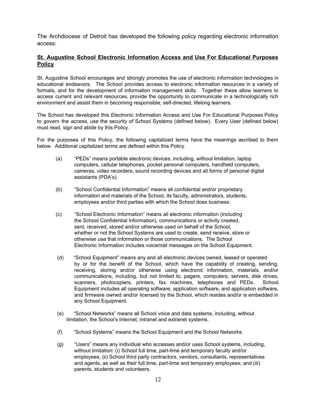The Archdiocese of Detroit has developed the following policy regarding electronic information access:

# **St. Augustine School Electronic Information Access and Use For Educational Purposes Policy**

St. Augustine School encourages and strongly promotes the use of electronic information technologies in educational endeavors. The School provides access to electronic information resources in a variety of formats, and for the development of information management skills. Together these allow learners to access current and relevant resources, provide the opportunity to communicate in a technologically rich environment and assist them in becoming responsible, self-directed, lifelong learners.

The School has developed this Electronic Information Access and Use For Educational Purposes Policy to govern the access, use the security of School Systems (defined below). Every User (defined below) must read, sign and abide by this Policy.

For the purposes of this Policy, the following capitalized terms have the meanings ascribed to them below. Additional capitalized terms are defined within this Policy.

- (a) "PEDs" means portable electronic devices, including, without limitation, laptop computers, cellular telephones, pocket personal computers, handheld computers, cameras, video recorders, sound recording devices and all forms of personal digital assistants (PDA's).
- (b) "School Confidential Information" means all confidential and/or proprietary information and materials of the School, its faculty, administrators, students, employees and/or third parties with which the School does business.
- (c) "School Electronic Information" means all electronic information (including the School Confidential Information), communications or activity created, sent, received, stored and/or otherwise used on behalf of the School, whether or not the School Systems are used to create, send receive, store or otherwise use that information or those communications. The School Electronic Information includes voicemail messages on the School Equipment.
- (d) "School Equipment" means any and all electronic devices owned, leased or operated by or for the benefit of the School, which have the capability of creating, sending, receiving, storing and/or otherwise using electronic information, materials, and/or communications, including, but not limited to, pagers, computers, servers, disk drives, scanners, photocopiers, printers, fax machines, telephones and PEDs. School Equipment includes all operating software, application software, and application software, and firmware owned and/or licensed by the School, which resides and/or is embedded in any School Equipment.
- (e) "School Networks" means all School voice and data systems, including, without limitation, the School's Internet, intranet and extranet systems.
- (f) "School Systems" means the School Equipment and the School Networks.
- (g) "Users" means any individual who accesses and/or uses School systems, including, without limitation: (i) School full time, part-time and temporary faculty and/or employees; (ii) School third party contractors, vendors, consultants, representatives and agents, as well as their full time, part-time and temporary employees; and (iii) parents, students and volunteers.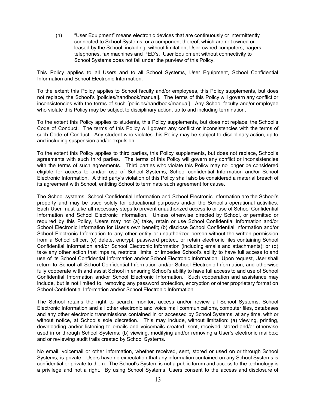(h) "User Equipment" means electronic devices that are continuously or intermittently connected to School Systems, or a component thereof, which are not owned or leased by the School, including, without limitation, User-owned computers, pagers, telephones, fax machines and PED's. User Equipment without connectivity to School Systems does not fall under the purview of this Policy.

This Policy applies to all Users and to all School Systems, User Equipment, School Confidential Information and School Electronic Information.

To the extent this Policy applies to School faculty and/or employees, this Policy supplements, but does not replace, the School's [policies/handbook/manual]. The terms of this Policy will govern any conflict or inconsistencies with the terms of such [policies/handbook/manual]. Any School faculty and/or employee who violate this Policy may be subject to disciplinary action, up to and including termination.

To the extent this Policy applies to students, this Policy supplements, but does not replace, the School's Code of Conduct. The terms of this Policy will govern any conflict or inconsistencies with the terms of such Code of Conduct. Any student who violates this Policy may be subject to disciplinary action, up to and including suspension and/or expulsion.

To the extent this Policy applies to third parties, this Policy supplements, but does not replace, School's agreements with such third parties. The terms of this Policy will govern any conflict or inconsistencies with the terms of such agreements. Third parties who violate this Policy may no longer be considered eligible for access to and/or use of School Systems, School confidential Information and/or School Electronic Information. A third party's violation of this Policy shall also be considered a material breach of its agreement with School, entitling School to terminate such agreement for cause.

The School systems, School Confidential Information and School Electronic Information are the School's property and may be used solely for educational purposes and/or the School's operational activities. Each User must take all necessary steps to prevent unauthorized access to or use of School Confidential Information and School Electronic Information. Unless otherwise directed by School, or permitted or required by this Policy, Users may not (a) take, retain or use School Confidential Information and/or School Electronic Information for User's own benefit; (b) disclose School Confidential Information and/or School Electronic Information to any other entity or unauthorized person without the written permission from a School officer, (c) delete, encrypt, password protect, or retain electronic files containing School Confidential Information and/or School Electronic Information (including emails and attachments); or (d) take any other action that impairs, restricts, limits, or impedes School's ability to have full access to and use of its School Confidential Information and/or School Electronic Information. Upon request, User shall return to School all School Confidential Information and/or School Electronic Information, and otherwise fully cooperate with and assist School in ensuring School's ability to have full access to and use of School Confidential Information and/or School Electronic Information. Such cooperation and assistance may include, but is not limited to, removing any password protection, encryption or other proprietary format on School Confidential Information and/or School Electronic Information.

The School retains the right to search, monitor, access and/or review all School Systems, School Electronic Information and all other electronic and voice mail communications, computer files, databases and any other electronic transmissions contained in or accessed by School Systems, at any time, with or without notice, at School's sole discretion. This may include, without limitation: (a) viewing, printing, downloading and/or listening to emails and voicemails created, sent, received, stored and/or otherwise used in or through School Systems; (b) viewing, modifying and/or removing a User's electronic mailbox; and or reviewing audit trails created by School Systems.

No email, voicemail or other information, whether received, sent, stored or used on or through School Systems, is private. Users have no expectation that any information contained on any School Systems is confidential or private to them. The School's System is not a public forum and access to the technology is a privilege and not a right. By using School Systems, Users consent to the access and disclosure of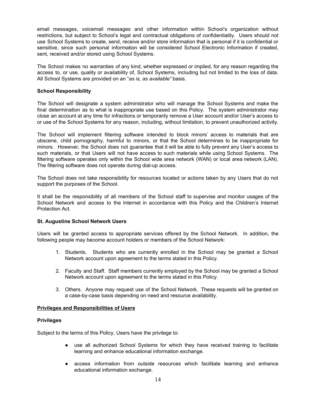email messages, voicemail messages and other information within School's organization without restrictions, but subject to School's legal and contractual obligations of confidentiality. Users should not use School Systems to create, send, receive and/or store information that is personal if it is confidential or sensitive, since such personal information will be considered School Electronic Information if created, sent, received and/or stored using School Systems.

The School makes no warranties of any kind, whether expressed or implied, for any reason regarding the access to, or use, quality or availability of, School Systems, including but not limited to the loss of data. All School Systems are provided on an "*as is, as available"* basis.

#### **School Responsibility**

The School will designate a system administrator who will manage the School Systems and make the final determination as to what is inappropriate use based on this Policy. The system administrator may close an account at any time for infractions or temporarily remove a User account and/or User's access to or use of the School Systems for any reason, including, without limitation, to prevent unauthorized activity.

The School will implement filtering software intended to block minors' access to materials that are obscene, child pornography, harmful to minors, or that the School determines to be inappropriate for minors. However, the School does not guarantee that it will be able to fully prevent any User's access to such materials, or that Users will not have access to such materials while using School Systems. The filtering software operates only within the School wide area network (WAN) or local area network (LAN). The filtering software does not operate during dial-up access.

The School does not take responsibility for resources located or actions taken by any Users that do not support the purposes of the School.

It shall be the responsibility of all members of the School staff to supervise and monitor usages of the School Network and access to the Internet in accordance with this Policy and the Children's Internet Protection Act.

#### **St. Augustine School Network Users**

Users will be granted access to appropriate services offered by the School Network. In addition, the following people may become account holders or members of the School Network:

- 1. Students. Students who are currently enrolled in the School may be granted a School Network account upon agreement to the terms stated in this Policy.
- 2. Faculty and Staff. Staff members currently employed by the School may be granted a School Network account upon agreement to the terms stated in this Policy.
- 3. Others. Anyone may request use of the School Network. These requests will be granted on a case-by-case basis depending on need and resource availability.

#### **Privileges and Responsibilities of Users**

#### **Privileges**

Subject to the terms of this Policy, Users have the privilege to:

- use all authorized School Systems for which they have received training to facilitate learning and enhance educational information exchange.
- access information from outside resources which facilitate learning and enhance educational information exchange.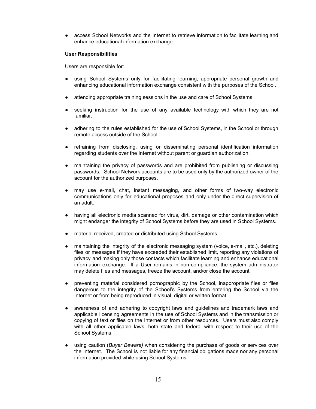• access School Networks and the Internet to retrieve information to facilitate learning and enhance educational information exchange.

#### **User Responsibilities**

Users are responsible for:

- using School Systems only for facilitating learning, appropriate personal growth and enhancing educational information exchange consistent with the purposes of the School.
- attending appropriate training sessions in the use and care of School Systems.
- seeking instruction for the use of any available technology with which they are not familiar.
- adhering to the rules established for the use of School Systems, in the School or through remote access outside of the School.
- refraining from disclosing, using or disseminating personal identification information regarding students over the Internet without parent or guardian authorization.
- maintaining the privacy of passwords and are prohibited from publishing or discussing passwords. School Network accounts are to be used only by the authorized owner of the account for the authorized purposes.
- may use e-mail, chat, instant messaging, and other forms of two-way electronic communications only for educational proposes and only under the direct supervision of an adult.
- having all electronic media scanned for virus, dirt, damage or other contamination which might endanger the integrity of School Systems before they are used in School Systems.
- material received, created or distributed using School Systems.
- maintaining the integrity of the electronic messaging system (voice, e-mail, etc.), deleting files or messages if they have exceeded their established limit, reporting any violations of privacy and making only those contacts which facilitate learning and enhance educational information exchange. If a User remains in non-compliance, the system administrator may delete files and messages, freeze the account, and/or close the account.
- preventing material considered pornographic by the School, inappropriate files or files dangerous to the integrity of the School's Systems from entering the School via the Internet or from being reproduced in visual, digital or written format.
- awareness of and adhering to copyright laws and guidelines and trademark laws and applicable licensing agreements in the use of School Systems and in the transmission or copying of text or files on the Internet or from other resources. Users must also comply with all other applicable laws, both state and federal with respect to their use of the School Systems.
- using caution (*Buyer Beware)* when considering the purchase of goods or services over the Internet. The School is not liable for any financial obligations made nor any personal information provided while using School Systems.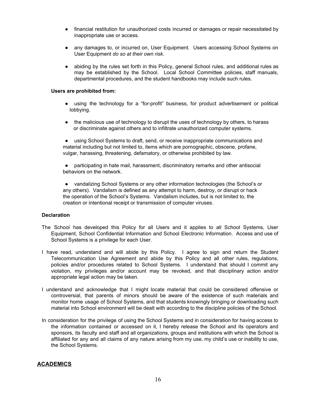- financial restitution for unauthorized costs incurred or damages or repair necessitated by inappropriate use or access.
- any damages to, or incurred on, User Equipment. Users accessing School Systems on User Equipment *do so at their own risk*.
- abiding by the rules set forth in this Policy, general School rules, and additional rules as may be established by the School. Local School Committee policies, staff manuals, departmental procedures, and the student handbooks may include such rules.

#### **Users are prohibited from:**

- using the technology for a "for-profit" business, for product advertisement or political lobbying.
- the malicious use of technology to disrupt the uses of technology by others, to harass or discriminate against others and to infiltrate unauthorized computer systems.

● using School Systems to draft, send, or receive inappropriate communications and material including but not limited to, items which are pornographic, obscene, profane, vulgar, harassing, threatening, defamatory, or otherwise prohibited by law.

● participating in hate mail, harassment, discriminatory remarks and other antisocial behaviors on the network.

● vandalizing School Systems or any other information technologies (the School's or any others). Vandalism is defined as any attempt to harm, destroy, or disrupt or hack the operation of the School's Systems. Vandalism includes, but is not limited to, the creation or intentional receipt or transmission of computer viruses.

#### **Declaration**

- The School has developed this Policy for all Users and it applies to all School Systems, User Equipment, School Confidential Information and School Electronic Information. Access and use of School Systems is a privilege for each User.
- I have read, understand and will abide by this Policy. I agree to sign and return the Student Telecommunication Use Agreement and abide by this Policy and all other rules, regulations, policies and/or procedures related to School Systems. I understand that should I commit any violation, my privileges and/or account may be revoked, and that disciplinary action and/or appropriate legal action may be taken.
- I understand and acknowledge that I might locate material that could be considered offensive or controversial, that parents of minors should be aware of the existence of such materials and monitor home usage of School Systems, and that students knowingly bringing or downloading such material into School environment will be dealt with according to the discipline policies of the School.
- In consideration for the privilege of using the School Systems and in consideration for having access to the information contained or accessed on it, I hereby release the School and its operators and sponsors, its faculty and staff and all organizations, groups and institutions with which the School is affiliated for any and all claims of any nature arising from my use, my child's use or inability to use, the School Systems.

#### **ACADEMICS**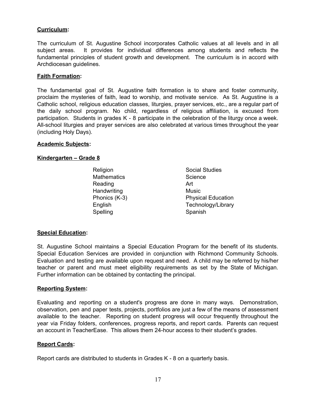# **Curriculum:**

The curriculum of St. Augustine School incorporates Catholic values at all levels and in all subject areas. It provides for individual differences among students and reflects the fundamental principles of student growth and development. The curriculum is in accord with Archdiocesan guidelines.

# **Faith Formation:**

The fundamental goal of St. Augustine faith formation is to share and foster community, proclaim the mysteries of faith, lead to worship, and motivate service. As St. Augustine is a Catholic school, religious education classes, liturgies, prayer services, etc., are a regular part of the daily school program. No child, regardless of religious affiliation, is excused from participation. Students in grades K - 8 participate in the celebration of the liturgy once a week. All-school liturgies and prayer services are also celebrated at various times throughout the year (including Holy Days).

### **Academic Subjects:**

### **Kindergarten – Grade 8**

Mathematics Science Reading **Art** Handwriting Music Spelling Spanish

Religion **Social Studies** Phonics (K-3) Physical Education English Technology/Library

# **Special Education:**

St. Augustine School maintains a Special Education Program for the benefit of its students. Special Education Services are provided in conjunction with Richmond Community Schools. Evaluation and testing are available upon request and need. A child may be referred by his/her teacher or parent and must meet eligibility requirements as set by the State of Michigan. Further information can be obtained by contacting the principal.

#### **Reporting System:**

Evaluating and reporting on a student's progress are done in many ways. Demonstration, observation, pen and paper tests, projects, portfolios are just a few of the means of assessment available to the teacher. Reporting on student progress will occur frequently throughout the year via Friday folders, conferences, progress reports, and report cards. Parents can request an account in TeacherEase. This allows them 24-hour access to their student's grades.

#### **Report Cards:**

Report cards are distributed to students in Grades K - 8 on a quarterly basis.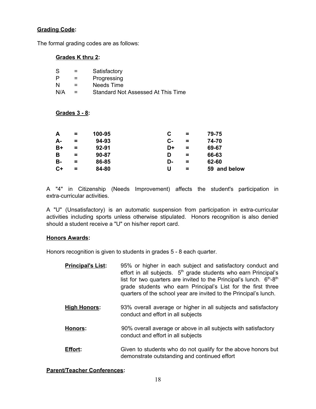# **Grading Code:**

The formal grading codes are as follows:

# **Grades K thru 2:**

| -S  | $=$ | Satisfactory                       |
|-----|-----|------------------------------------|
| P   | $=$ | Progressing                        |
| N   | =   | Needs Time                         |
| N/A | $=$ | Standard Not Assessed At This Time |

### **Grades 3 - 8:**

| A    | $=$ | 100-95    |           | $\equiv$ | 79-75        |
|------|-----|-----------|-----------|----------|--------------|
| А-   | =   | 94-93     | <b>C-</b> | $=$      | 74-70        |
| B+   | =   | $92 - 91$ | D+        | $=$      | 69-67        |
| В    | $=$ | 90-87     | D         | $=$      | 66-63        |
| в-   | =   | 86-85     | D-        | $=$      | 62-60        |
| $C+$ | =   | 84-80     | U         | =        | 59 and below |

A "4" in Citizenship (Needs Improvement) affects the student's participation in extra-curricular activities.

A "U" (Unsatisfactory) is an automatic suspension from participation in extra-curricular activities including sports unless otherwise stipulated. Honors recognition is also denied should a student receive a "U" on his/her report card.

#### **Honors Awards:**

Honors recognition is given to students in grades 5 - 8 each quarter.

| <b>Principal's List:</b> | 95% or higher in each subject and satisfactory conduct and<br>effort in all subjects. 5 <sup>th</sup> grade students who earn Principal's<br>list for two quarters are invited to the Principal's lunch. $6th-8th$<br>grade students who earn Principal's List for the first three<br>quarters of the school year are invited to the Principal's lunch. |
|--------------------------|---------------------------------------------------------------------------------------------------------------------------------------------------------------------------------------------------------------------------------------------------------------------------------------------------------------------------------------------------------|
| <b>Ligh Llonore</b>      | 03% overall average or higher in all subjects and satisfactory                                                                                                                                                                                                                                                                                          |

- **High Honors:** 93% overall average or higher in all subjects and satisfactory conduct and effort in all subjects
- **Honors:** 90% overall average or above in all subjects with satisfactory conduct and effort in all subjects
- **Effort:** Given to students who do not qualify for the above honors but demonstrate outstanding and continued effort

# **Parent/Teacher Conferences:**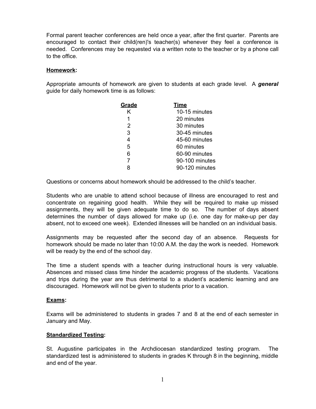Formal parent teacher conferences are held once a year, after the first quarter. Parents are encouraged to contact their child(ren)'s teacher(s) whenever they feel a conference is needed. Conferences may be requested via a written note to the teacher or by a phone call to the office.

# **Homework:**

Appropriate amounts of homework are given to students at each grade level. A *general* guide for daily homework time is as follows:

| Grade | <b>Time</b>    |
|-------|----------------|
| Κ     | 10-15 minutes  |
| 1     | 20 minutes     |
| 2     | 30 minutes     |
| 3     | 30-45 minutes  |
| 4     | 45-60 minutes  |
| 5     | 60 minutes     |
| 6     | 60-90 minutes  |
| 7     | 90-100 minutes |
| R     | 90-120 minutes |
|       |                |

Questions or concerns about homework should be addressed to the child's teacher.

Students who are unable to attend school because of illness are encouraged to rest and concentrate on regaining good health. While they will be required to make up missed assignments, they will be given adequate time to do so. The number of days absent determines the number of days allowed for make up (i.e. one day for make-up per day absent, not to exceed one week). Extended illnesses will be handled on an individual basis.

Assignments may be requested after the second day of an absence. Requests for homework should be made no later than 10:00 A.M. the day the work is needed. Homework will be ready by the end of the school day.

The time a student spends with a teacher during instructional hours is very valuable. Absences and missed class time hinder the academic progress of the students. Vacations and trips during the year are thus detrimental to a student's academic learning and are discouraged. Homework will not be given to students prior to a vacation.

# **Exams:**

Exams will be administered to students in grades 7 and 8 at the end of each semester in January and May.

# **Standardized Testing:**

St. Augustine participates in the Archdiocesan standardized testing program. The standardized test is administered to students in grades K through 8 in the beginning, middle and end of the year.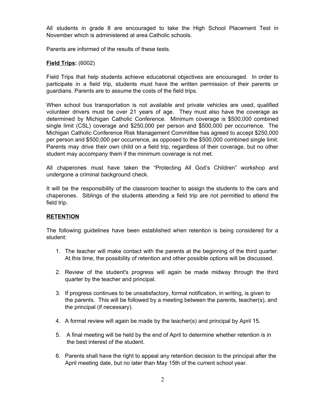All students in grade 8 are encouraged to take the High School Placement Test in November which is administered at area Catholic schools.

Parents are informed of the results of these tests.

# **Field Trips:** (6002)

Field Trips that help students achieve educational objectives are encouraged. In order to participate in a field trip, students must have the written permission of their parents or guardians. Parents are to assume the costs of the field trips.

When school bus transportation is not available and private vehicles are used, qualified volunteer drivers must be over 21 years of age. They must also have the coverage as determined by Michigan Catholic Conference. Minimum coverage is \$500,000 combined single limit (CSL) coverage and \$250,000 per person and \$500,000 per occurrence. The Michigan Catholic Conference Risk Management Committee has agreed to accept \$250,000 per person and \$500,000 per occurrence, as opposed to the \$500,000 combined single limit. Parents may drive their own child on a field trip, regardless of their coverage, but no other student may accompany them if the minimum coverage is not met.

All chaperones must have taken the "Protecting All God's Children" workshop and undergone a criminal background check.

It will be the responsibility of the classroom teacher to assign the students to the cars and chaperones. Siblings of the students attending a field trip are not permitted to attend the field trip.

# **RETENTION**

The following guidelines have been established when retention is being considered for a student:

- 1. The teacher will make contact with the parents at the beginning of the third quarter. At this time, the possibility of retention and other possible options will be discussed.
- 2. Review of the student's progress will again be made midway through the third quarter by the teacher and principal.
- 3. If progress continues to be unsatisfactory, formal notification, in writing, is given to the parents. This will be followed by a meeting between the parents, teacher(s), and the principal (if necessary).
- 4. A formal review will again be made by the teacher(s) and principal by April 15.
- 5. A final meeting will be held by the end of April to determine whether retention is in the best interest of the student.
- 6. Parents shall have the right to appeal any retention decision to the principal after the April meeting date, but no later than May 15th of the current school year.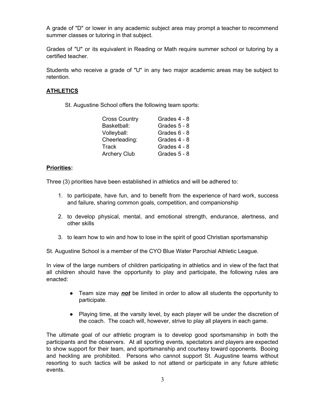A grade of "D" or lower in any academic subject area may prompt a teacher to recommend summer classes or tutoring in that subject.

Grades of "U" or its equivalent in Reading or Math require summer school or tutoring by a certified teacher.

Students who receive a grade of "U" in any two major academic areas may be subject to retention.

# **ATHLETICS**

St. Augustine School offers the following team sports:

| <b>Cross Country</b> | Grades 4 - 8 |
|----------------------|--------------|
| Basketball:          | Grades 5 - 8 |
| Volleyball:          | Grades 6 - 8 |
| Cheerleading:        | Grades 4 - 8 |
| Track                | Grades 4 - 8 |
| <b>Archery Club</b>  | Grades 5 - 8 |

# **Priorities:**

Three (3) priorities have been established in athletics and will be adhered to:

- 1. to participate, have fun, and to benefit from the experience of hard work, success and failure, sharing common goals, competition, and companionship
- 2. to develop physical, mental, and emotional strength, endurance, alertness, and other skills
- 3. to learn how to win and how to lose in the spirit of good Christian sportsmanship

St. Augustine School is a member of the CYO Blue Water Parochial Athletic League.

In view of the large numbers of children participating in athletics and in view of the fact that all children should have the opportunity to play and participate, the following rules are enacted:

- Team size may *not* be limited in order to allow all students the opportunity to participate.
- Playing time, at the varsity level, by each player will be under the discretion of the coach. The coach will, however, strive to play all players in each game.

The ultimate goal of our athletic program is to develop good sportsmanship in both the participants and the observers. At all sporting events, spectators and players are expected to show support for their team, and sportsmanship and courtesy toward opponents. Booing and heckling are prohibited. Persons who cannot support St. Augustine teams without resorting to such tactics will be asked to not attend or participate in any future athletic events.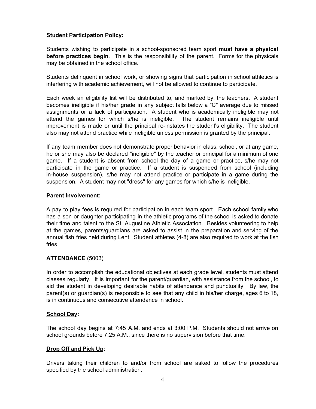# **Student Participation Policy:**

Students wishing to participate in a school-sponsored team sport **must have a physical before practices begin**. This is the responsibility of the parent. Forms for the physicals may be obtained in the school office.

Students delinquent in school work, or showing signs that participation in school athletics is interfering with academic achievement, will not be allowed to continue to participate.

Each week an eligibility list will be distributed to, and marked by, the teachers. A student becomes ineligible if his/her grade in any subject falls below a "C" average due to missed assignments or a lack of participation. A student who is academically ineligible may not attend the games for which s/he is ineligible. The student remains ineligible until improvement is made or until the principal re-instates the student's eligibility. The student also may not attend practice while ineligible unless permission is granted by the principal.

If any team member does not demonstrate proper behavior in class, school, or at any game, he or she may also be declared "ineligible" by the teacher or principal for a minimum of one game. If a student is absent from school the day of a game or practice, s/he may not participate in the game or practice. If a student is suspended from school (including in-house suspension), s/he may not attend practice or participate in a game during the suspension. A student may not "dress" for any games for which s/he is ineligible.

# **Parent Involvement:**

A pay to play fees is required for participation in each team sport. Each school family who has a son or daughter participating in the athletic programs of the school is asked to donate their time and talent to the St. Augustine Athletic Association. Besides volunteering to help at the games, parents/guardians are asked to assist in the preparation and serving of the annual fish fries held during Lent. Student athletes (4-8) are also required to work at the fish fries.

# **ATTENDANCE** (5003)

In order to accomplish the educational objectives at each grade level, students must attend classes regularly. It is important for the parent/guardian, with assistance from the school, to aid the student in developing desirable habits of attendance and punctuality. By law, the parent(s) or guardian(s) is responsible to see that any child in his/her charge, ages 6 to 18, is in continuous and consecutive attendance in school.

# **School Day:**

The school day begins at 7:45 A.M. and ends at 3:00 P.M. Students should not arrive on school grounds before 7:25 A.M., since there is no supervision before that time.

# **Drop Off and Pick Up:**

Drivers taking their children to and/or from school are asked to follow the procedures specified by the school administration.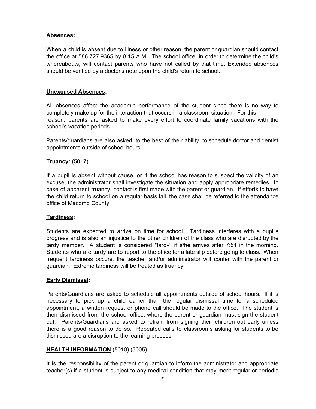# **Absences:**

When a child is absent due to illness or other reason, the parent or guardian should contact the office at 586.727.9365 by 8:15 A.M. The school office, in order to determine the child's whereabouts, will contact parents who have not called by that time. Extended absences should be verified by a doctor's note upon the child's return to school.

### **Unexcused Absences:**

All absences affect the academic performance of the student since there is no way to completely make up for the interaction that occurs in a classroom situation. For this reason, parents are asked to make every effort to coordinate family vacations with the school's vacation periods.

Parents/guardians are also asked, to the best of their ability, to schedule doctor and dentist appointments outside of school hours.

# **Truancy:** (5017)

If a pupil is absent without cause, or if the school has reason to suspect the validity of an excuse, the administrator shall investigate the situation and apply appropriate remedies. In case of apparent truancy, contact is first made with the parent or guardian. If efforts to have the child return to school on a regular basis fail, the case shall be referred to the attendance office of Macomb County.

#### **Tardiness:**

Students are expected to arrive on time for school. Tardiness interferes with a pupil's progress and is also an injustice to the other children of the class who are disrupted by the tardy member. A student is considered "tardy" if s/he arrives after 7:51 in the morning. Students who are tardy are to report to the office for a late slip before going to class. When frequent tardiness occurs, the teacher and/or administrator will confer with the parent or guardian. Extreme tardiness will be treated as truancy.

# **Early Dismissal:**

Parents/Guardians are asked to schedule all appointments outside of school hours. If it is necessary to pick up a child earlier than the regular dismissal time for a scheduled appointment, a written request or phone call should be made to the office. The student is then dismissed from the school office, where the parent or guardian must sign the student out. Parents/Guardians are asked to refrain from signing their children out early unless there is a good reason to do so. Repeated calls to classrooms asking for students to be dismissed are a disruption to the learning process.

#### **HEALTH INFORMATION** (5010) (5005)

It is the responsibility of the parent or guardian to inform the administrator and appropriate teacher(s) if a student is subject to any medical condition that may merit regular or periodic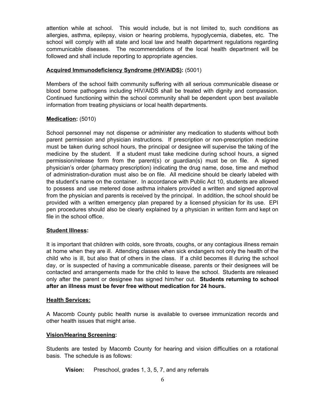attention while at school. This would include, but is not limited to, such conditions as allergies, asthma, epilepsy, vision or hearing problems, hypoglycemia, diabetes, etc. The school will comply with all state and local law and health department regulations regarding communicable diseases. The recommendations of the local health department will be followed and shall include reporting to appropriate agencies.

# **Acquired Immunodeficiency Syndrome (HIV/AIDS):** (5001)

Members of the school faith community suffering with all serious communicable disease or blood borne pathogens including HIV/AIDS shall be treated with dignity and compassion. Continued functioning within the school community shall be dependent upon best available information from treating physicians or local health departments.

# **Medication:** (5010)

School personnel may not dispense or administer any medication to students without both parent permission and physician instructions. If prescription or non-prescription medicine must be taken during school hours, the principal or designee will supervise the taking of the medicine by the student. If a student must take medicine during school hours, a signed permission/release form from the parent(s) or guardian(s) must be on file. A signed physician's order (pharmacy prescription) indicating the drug name, dose, time and method of administration-duration must also be on file. All medicine should be clearly labeled with the student's name on the container. In accordance with Public Act 10, students are allowed to possess and use metered dose asthma inhalers provided a written and signed approval from the physician and parents is received by the principal. In addition, the school should be provided with a written emergency plan prepared by a licensed physician for its use. EPI pen procedures should also be clearly explained by a physician in written form and kept on file in the school office.

# **Student Illness:**

It is important that children with colds, sore throats, coughs, or any contagious illness remain at home when they are ill. Attending classes when sick endangers not only the health of the child who is ill, but also that of others in the class. If a child becomes ill during the school day, or is suspected of having a communicable disease, parents or their designees will be contacted and arrangements made for the child to leave the school. Students are released only after the parent or designee has signed him/her out. **Students returning to school after an illness must be fever free without medication for 24 hours.**

#### **Health Services:**

A Macomb County public health nurse is available to oversee immunization records and other health issues that might arise.

# **Vision/Hearing Screening:**

Students are tested by Macomb County for hearing and vision difficulties on a rotational basis. The schedule is as follows:

**Vision:** Preschool, grades 1, 3, 5, 7, and any referrals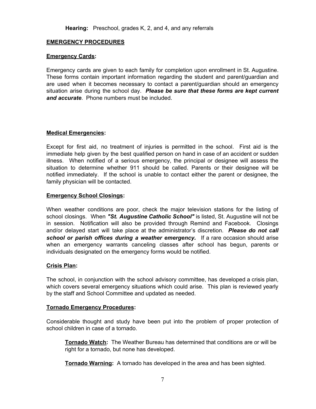# **EMERGENCY PROCEDURES**

#### **Emergency Cards:**

Emergency cards are given to each family for completion upon enrollment in St. Augustine. These forms contain important information regarding the student and parent/guardian and are used when it becomes necessary to contact a parent/guardian should an emergency situation arise during the school day. *Please be sure that these forms are kept current and accurate*. Phone numbers must be included.

### **Medical Emergencies:**

Except for first aid, no treatment of injuries is permitted in the school. First aid is the immediate help given by the best qualified person on hand in case of an accident or sudden illness. When notified of a serious emergency, the principal or designee will assess the situation to determine whether 911 should be called. Parents or their designee will be notified immediately. If the school is unable to contact either the parent or designee, the family physician will be contacted.

### **Emergency School Closings:**

When weather conditions are poor, check the major television stations for the listing of school closings. When *"St. Augustine Catholic School"* is listed, St. Augustine will not be in session. Notification will also be provided through Remind and Facebook. Closings and/or delayed start will take place at the administrator's discretion. *Please do not call school or parish offices during a weather emergency.* If a rare occasion should arise when an emergency warrants canceling classes after school has begun, parents or individuals designated on the emergency forms would be notified.

#### **Crisis Plan:**

The school, in conjunction with the school advisory committee, has developed a crisis plan, which covers several emergency situations which could arise. This plan is reviewed yearly by the staff and School Committee and updated as needed.

#### **Tornado Emergency Procedures:**

Considerable thought and study have been put into the problem of proper protection of school children in case of a tornado.

**Tornado Watch:** The Weather Bureau has determined that conditions are or will be right for a tornado, but none has developed.

**Tornado Warning:** A tornado has developed in the area and has been sighted.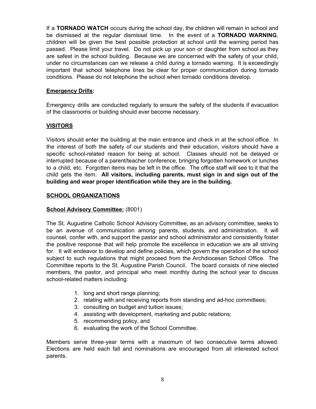If a **TORNADO WATCH** occurs during the school day, the children will remain in school and be dismissed at the regular dismissal time. In the event of a **TORNADO WARNING**, children will be given the best possible protection at school until the warning period has passed. Please limit your travel. Do not pick up your son or daughter from school as they are safest in the school building. Because we are concerned with the safety of your child, under no circumstances can we release a child during a tornado warning. It is exceedingly important that school telephone lines be clear for proper communication during tornado conditions. Please do not telephone the school when tornado conditions develop.

# **Emergency Drills:**

Emergency drills are conducted regularly to ensure the safety of the students if evacuation of the classrooms or building should ever become necessary.

### **VISITORS**

Visitors should enter the building at the main entrance and check in at the school office. In the interest of both the safety of our students and their education, visitors should have a specific school-related reason for being at school. Classes should not be delayed or interrupted because of a parent/teacher conference, bringing forgotten homework or lunches to a child, etc. Forgotten items may be left in the office. The office staff will see to it that the child gets the item. **All visitors, including parents, must sign in and sign out of the building and wear proper identification while they are in the building.**

#### **SCHOOL ORGANIZATIONS**

#### **School Advisory Committee:** (8001)

The St. Augustine Catholic School Advisory Committee, as an advisory committee, seeks to be an avenue of communication among parents, students, and administration. It will counsel, confer with, and support the pastor and school administrator and consistently foster the positive response that will help promote the excellence in education we are all striving for. It will endeavor to develop and define policies, which govern the operation of the school subject to such regulations that might proceed from the Archdiocesan School Office. The Committee reports to the St. Augustine Parish Council. The board consists of nine elected members, the pastor, and principal who meet monthly during the school year to discuss school-related matters including:

- 1. long and short range planning;
- 2. relating with and receiving reports from standing and ad-hoc committees;
- 3. consulting on budget and tuition issues;
- 4. assisting with development, marketing and public relations;
- 5. recommending policy, and
- 6. evaluating the work of the School Committee.

Members serve three-year terms with a maximum of two consecutive terms allowed. Elections are held each fall and nominations are encouraged from all interested school parents.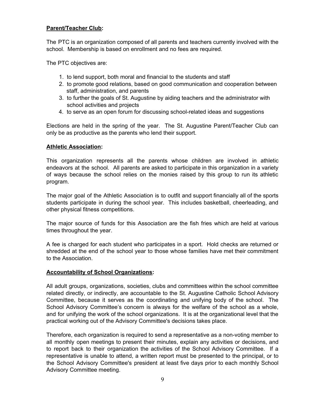# **Parent/Teacher Club:**

The PTC is an organization composed of all parents and teachers currently involved with the school. Membership is based on enrollment and no fees are required.

The PTC objectives are:

- 1. to lend support, both moral and financial to the students and staff
- 2. to promote good relations, based on good communication and cooperation between staff, administration, and parents
- 3. to further the goals of St. Augustine by aiding teachers and the administrator with school activities and projects
- 4. to serve as an open forum for discussing school-related ideas and suggestions

Elections are held in the spring of the year. The St. Augustine Parent/Teacher Club can only be as productive as the parents who lend their support.

### **Athletic Association:**

This organization represents all the parents whose children are involved in athletic endeavors at the school. All parents are asked to participate in this organization in a variety of ways because the school relies on the monies raised by this group to run its athletic program.

The major goal of the Athletic Association is to outfit and support financially all of the sports students participate in during the school year. This includes basketball, cheerleading, and other physical fitness competitions.

The major source of funds for this Association are the fish fries which are held at various times throughout the year.

A fee is charged for each student who participates in a sport. Hold checks are returned or shredded at the end of the school year to those whose families have met their commitment to the Association.

# **Accountability of School Organizations:**

All adult groups, organizations, societies, clubs and committees within the school committee related directly, or indirectly, are accountable to the St. Augustine Catholic School Advisory Committee, because it serves as the coordinating and unifying body of the school. The School Advisory Committee's concern is always for the welfare of the school as a whole, and for unifying the work of the school organizations. It is at the organizational level that the practical working out of the Advisory Committee's decisions takes place.

Therefore, each organization is required to send a representative as a non-voting member to all monthly open meetings to present their minutes, explain any activities or decisions, and to report back to their organization the activities of the School Advisory Committee. If a representative is unable to attend, a written report must be presented to the principal, or to the School Advisory Committee's president at least five days prior to each monthly School Advisory Committee meeting.